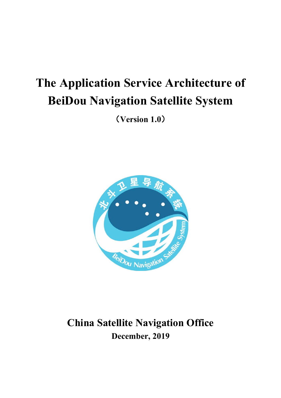# **The Application Service Architecture of BeiDou Navigation Satellite System**

(**Version 1.0**)



## **China Satellite Navigation Office December, 2019**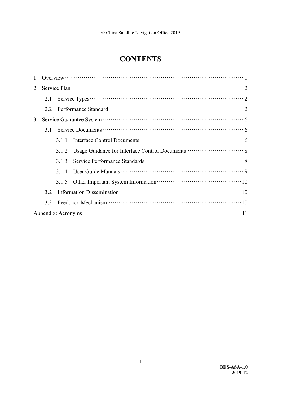## **CONTENTS**

| 1 |     |       | Overview $\cdots$ and $\cdots$ and $\cdots$ and $\cdots$ |  |  |  |
|---|-----|-------|----------------------------------------------------------|--|--|--|
| 2 |     |       |                                                          |  |  |  |
|   | 2.1 |       |                                                          |  |  |  |
|   | 2.2 |       |                                                          |  |  |  |
| 3 |     |       |                                                          |  |  |  |
|   | 31  |       |                                                          |  |  |  |
|   |     | 3.1.1 |                                                          |  |  |  |
|   |     | 312   |                                                          |  |  |  |
|   |     | 313   |                                                          |  |  |  |
|   |     | 3.1.4 |                                                          |  |  |  |
|   |     | 3.1.5 |                                                          |  |  |  |
|   | 3.2 |       |                                                          |  |  |  |
|   | 33  |       |                                                          |  |  |  |
|   |     |       |                                                          |  |  |  |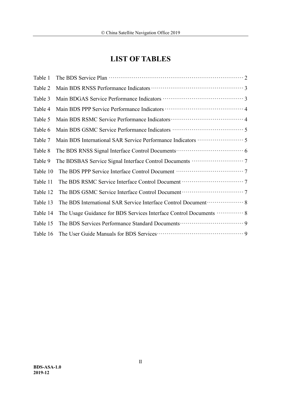## **LIST OF TABLES**

| Table 1  |                                                                                    |  |
|----------|------------------------------------------------------------------------------------|--|
| Table 2  |                                                                                    |  |
| Table 3  |                                                                                    |  |
| Table 4  |                                                                                    |  |
| Table 5  |                                                                                    |  |
| Table 6  |                                                                                    |  |
| Table 7  |                                                                                    |  |
| Table 8  |                                                                                    |  |
| Table 9  |                                                                                    |  |
| Table 10 |                                                                                    |  |
| Table 11 |                                                                                    |  |
| Table 12 |                                                                                    |  |
| Table 13 | The BDS International SAR Service Interface Control Document ··················· 8 |  |
| Table 14 | The Usage Guidance for BDS Services Interface Control Documents  8                 |  |
| Table 15 |                                                                                    |  |
| Table 16 |                                                                                    |  |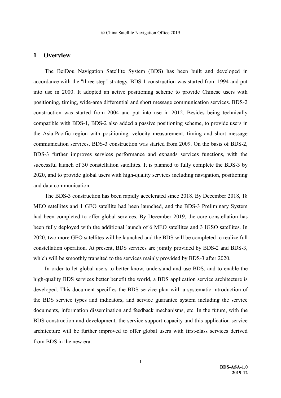#### **1 Overview**

The BeiDou Navigation Satellite System (BDS) has been built and developed in accordance with the "three-step" strategy. BDS-1 construction was started from 1994 and put into use in 2000. It adopted an active positioning scheme to provide Chinese users with positioning, timing, wide-area differential and short message communication services. BDS-2 construction was started from 2004 and put into use in 2012. Besides being technically compatible with BDS-1, BDS-2 also added a passive positioning scheme, to provide users in the Asia-Pacific region with positioning, velocity measurement, timing and short message communication services. BDS-3 construction was started from 2009. On the basis of BDS-2, BDS-3 further improves services performance and expands services functions, with the successful launch of 30 constellation satellites. It is planned to fully complete the BDS-3 by 2020, and to provide global users with high-quality services including navigation, positioning and data communication.

The BDS-3 construction has been rapidly accelerated since 2018. By December 2018, 18 MEO satellites and 1 GEO satellite had been launched, and the BDS-3 Preliminary System had been completed to offer global services. By December 2019, the core constellation has been fully deployed with the additional launch of 6 MEO satellites and 3 IGSO satellites. In 2020, two more GEO satellites will be launched and the BDS will be completed to realize full constellation operation. At present, BDS services are jointly provided by BDS-2 and BDS-3, which will be smoothly transited to the services mainly provided by BDS-3 after 2020.

In order to let global users to better know, understand and use BDS, and to enable the high-quality BDS services better benefit the world, a BDS application service architecture is developed. This document specifies the BDS service plan with a systematic introduction of the BDS service types and indicators, and service guarantee system including the service documents, information dissemination and feedback mechanisms, etc. In the future, with the BDS construction and development, the service support capacity and this application service architecture will be further improved to offer global users with first-class services derived from BDS in the new era.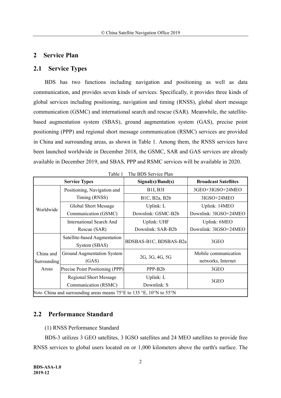#### **2 Service Plan**

#### **2.1 Service Types**

BDS has two functions including navigation and positioning as well as data communication, and provides seven kinds of services. Specifically, it provides three kinds of global services including positioning, navigation and timing (RNSS), global short message communication (GSMC) and international search and rescue (SAR). Meanwhile, the satellitebased augmentation system (SBAS), ground augmentation system (GAS), precise point positioning (PPP) and regional short message communication (RSMC) services are provided in China and surrounding areas, as shown in Table 1. Among them, the RNSS services have been launched worldwide in December 2018, the GSMC, SAR and GAS services are already available in December 2019, and SBAS, PPP and RSMC services will be available in 2020.

| Table 1<br>The BDS Service Plan |                                                                      |                        |                             |  |  |
|---------------------------------|----------------------------------------------------------------------|------------------------|-----------------------------|--|--|
|                                 | <b>Service Types</b>                                                 | Signal(s)/Band(s)      | <b>Broadcast Satellites</b> |  |  |
|                                 | Positioning, Navigation and                                          | <b>B1I, B3I</b>        | 3GEO+3IGSO+24MEO            |  |  |
|                                 | Timing (RNSS)                                                        | B1C, B2a, B2b          | 3IGSO+24MEO                 |  |  |
| Worldwide                       | Global Short Message                                                 | Uplink: L              | Uplink: 14MEO               |  |  |
|                                 | Communication (GSMC)                                                 | Downlink: GSMC-B2b     | Downlink: 3IGSO+24MEO       |  |  |
|                                 | International Search And                                             | Uplink: UHF            | Uplink: 6MEO                |  |  |
|                                 | Rescue (SAR)                                                         | Downlink: SAR-B2b      | Downlink: 3IGSO+24MEO       |  |  |
|                                 | Satellite-based Augmentation                                         |                        |                             |  |  |
|                                 | System (SBAS)                                                        | BDSBAS-B1C, BDSBAS-B2a | 3GEO                        |  |  |
| China and                       | Ground Augmentation System                                           |                        | Mobile communication        |  |  |
| Surrounding                     | (GAS)                                                                | 2G, 3G, 4G, 5G         | networks, Internet          |  |  |
| Areas                           | Precise Point Positioning (PPP)                                      | PPP-B <sub>2</sub> b   | 3GEO                        |  |  |
|                                 | <b>Regional Short Message</b>                                        | Uplink: L              |                             |  |  |
|                                 | Communication (RSMC)                                                 | Downlink: S            | 3GEO                        |  |  |
|                                 | Note: China and surrounding areas means 75°E to 135 °E, 10°N to 55°N |                        |                             |  |  |

#### **2.2 Performance Standard**

#### (1) RNSS Performance Standard

BDS-3 utilizes 3 GEO satellites, 3 IGSO satellites and 24 MEO satellites to provide free RNSS services to global users located on or 1,000 kilometers above the earth's surface. The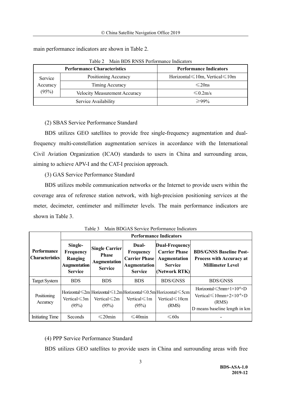|          | <b>Performance Characteristics</b> | <b>Performance Indicators</b>                |
|----------|------------------------------------|----------------------------------------------|
| Service  | Positioning Accuracy               | Horizontal $\leq 10$ m, Vertical $\leq 10$ m |
| Accuracy | Timing Accuracy                    | $\leq$ 20ns                                  |
| (95%)    | Velocity Measurement Accuracy      | $\leq 0.2$ m/s                               |
|          | Service Availability               | $\geqslant$ 99%                              |

main performance indicators are shown in Table 2.

Table 2 Main BDS RNSS Performance Indicators

(2) SBAS Service Performance Standard

BDS utilizes GEO satellites to provide free single-frequency augmentation and dualfrequency multi-constellation augmentation services in accordance with the International Civil Aviation Organization (ICAO) standards to users in China and surrounding areas, aiming to achieve APV-I and the CAT-I precision approach.

(3) GAS Service Performance Standard

BDS utilizes mobile communication networks or the Internet to provide users within the coverage area of reference station network, with high-precision positioning services at the meter, decimeter, centimeter and millimeter levels. The main performance indicators are shown in Table 3.

|                                       | <b>Performance Indicators</b>                                            |                                                                                |                                                                                     |                                                                                                                          |                                                                                                                                       |  |  |
|---------------------------------------|--------------------------------------------------------------------------|--------------------------------------------------------------------------------|-------------------------------------------------------------------------------------|--------------------------------------------------------------------------------------------------------------------------|---------------------------------------------------------------------------------------------------------------------------------------|--|--|
| Performance<br><b>Characteristics</b> | Single-<br>Frequency<br>Ranging<br><b>Augmentation</b><br><b>Service</b> | <b>Single Carrier</b><br><b>Phase</b><br><b>Augmentation</b><br><b>Service</b> | Dual-<br>Frequency<br><b>Carrier Phase</b><br><b>Augmentation</b><br><b>Service</b> | Dual-Frequency<br><b>Carrier Phase</b><br>Augmentation<br><b>Service</b><br>(Network RTK)                                | <b>BDS/GNSS Baseline Post-</b><br><b>Process with Accuracy at</b><br><b>Millimeter Level</b>                                          |  |  |
| <b>Target System</b>                  | <b>BDS</b>                                                               | <b>BDS</b>                                                                     | <b>BDS</b>                                                                          | <b>BDS/GNSS</b>                                                                                                          | <b>BDS/GNSS</b>                                                                                                                       |  |  |
| Positioning<br>Accuracy               | Vertical $\leq 3m$<br>(95%)                                              | Vertical $\leq 2m$<br>(95%)                                                    | Vertical $\leq 1m$<br>(95%)                                                         | Horizontal $\leq 2m$ Horizontal $\leq 1.2m$ Horizontal $\leq 0.5m$ Horizontal $\leq 5cm$<br>Vertical \left 10cm<br>(RMS) | Horizontal $\leq 5$ mm+1×10 <sup>-6</sup> ×D<br>Vertical $\leq 10$ mm+2×10 <sup>-6</sup> ×D<br>(RMS)<br>D means baseline length in km |  |  |
| <b>Initiating Time</b>                | Seconds                                                                  | $\leq$ 20min                                                                   | $\leq 40$ min                                                                       | $\leq 60s$                                                                                                               |                                                                                                                                       |  |  |

|  |  | Table 3 Main BDGAS Service Performance Indicators |  |  |  |
|--|--|---------------------------------------------------|--|--|--|
|--|--|---------------------------------------------------|--|--|--|

#### (4) PPP Service Performance Standard

BDS utilizes GEO satellites to provide users in China and surrounding areas with free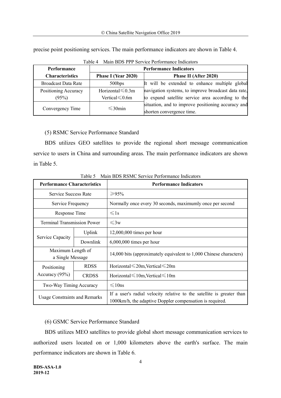| <u>1988 - Francesco Alexander Ludovice Barbara e Service Alexandro e service e service e service e ser</u> |                               |                                                                                 |  |  |  |
|------------------------------------------------------------------------------------------------------------|-------------------------------|---------------------------------------------------------------------------------|--|--|--|
| Performance                                                                                                | <b>Performance Indicators</b> |                                                                                 |  |  |  |
| <b>Characteristics</b>                                                                                     | Phase I (Year 2020)           | Phase II (After 2020)                                                           |  |  |  |
| <b>Broadcast Data Rate</b>                                                                                 | 500bps                        | It will be extended to enhance multiple global                                  |  |  |  |
| Positioning Accuracy                                                                                       | Horizontal $\leq 0.3$ m       | navigation systems, to improve broadcast data rate,                             |  |  |  |
| (95%)                                                                                                      | Vertical≤0.6m                 | to expand satellite service area according to the                               |  |  |  |
| Convergency Time                                                                                           | $\leq$ 30min                  | situation, and to improve positioning accuracy and<br>shorten convergence time. |  |  |  |

precise point positioning services. The main performance indicators are shown in Table 4.

Table 4 Main BDS PPP Service Performance Indicators

#### (5) RSMC Service Performance Standard

BDS utilizes GEO satellites to provide the regional short message communication service to users in China and surrounding areas. The main performance indicators are shown in Table 5.

| <b>Performance Characteristics</b>    |                                        | <b>Performance Indicators</b>                                                                                                     |
|---------------------------------------|----------------------------------------|-----------------------------------------------------------------------------------------------------------------------------------|
| Service Success Rate                  |                                        | ≥95%                                                                                                                              |
| Service Frequency                     |                                        | Normally once every 30 seconds, maximumly once per second                                                                         |
| Response Time                         |                                        | $\leq 1s$                                                                                                                         |
| <b>Terminal Transmission Power</b>    |                                        | $\leqslant$ 3w                                                                                                                    |
|                                       | Uplink                                 | $12,000,000$ times per hour                                                                                                       |
| Service Capacity                      | Downlink<br>$6,000,000$ times per hour |                                                                                                                                   |
| Maximum Length of<br>a Single Message |                                        | 14,000 bits (approximately equivalent to 1,000 Chinese characters)                                                                |
| Positioning                           | <b>RDSS</b>                            | Horizontal $\leq$ 20m, Vertical $\leq$ 20m                                                                                        |
| Accuracy $(95\%)$                     | <b>CRDSS</b>                           | Horizontal $\leq 10$ m, Vertical $\leq 10$ m                                                                                      |
| Two-Way Timing Accuracy               |                                        | $\leq 10$ ns                                                                                                                      |
| <b>Usage Constraints and Remarks</b>  |                                        | If a user's radial velocity relative to the satellite is greater than<br>1000km/h, the adaptive Doppler compensation is required. |

Table 5 Main BDS RSMC Service Performance Indicators

#### (6) GSMC Service Performance Standard

BDS utilizes MEO satellites to provide global short message communication services to authorized users located on or 1,000 kilometers above the earth's surface. The main performance indicators are shown in Table 6.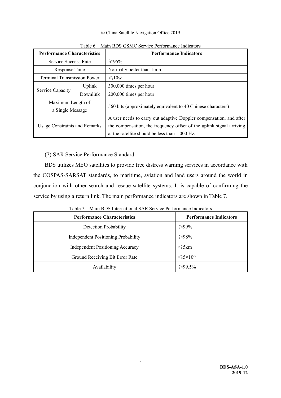| <b>Performance Characteristics</b>    |          | <b>Performance Indicators</b>                                                                                                                                                                |
|---------------------------------------|----------|----------------------------------------------------------------------------------------------------------------------------------------------------------------------------------------------|
| <b>Service Success Rate</b>           |          | $\geq 95\%$                                                                                                                                                                                  |
| Response Time                         |          | Normally better than 1 min                                                                                                                                                                   |
| <b>Terminal Transmission Power</b>    |          | $\leq 10w$                                                                                                                                                                                   |
|                                       | Uplink   | 300,000 times per hour                                                                                                                                                                       |
| Service Capacity                      | Downlink | 200,000 times per hour                                                                                                                                                                       |
| Maximum Length of<br>a Single Message |          | 560 bits (approximately equivalent to 40 Chinese characters)                                                                                                                                 |
| <b>Usage Constraints and Remarks</b>  |          | A user needs to carry out adaptive Doppler compensation, and after<br>the compensation, the frequency offset of the uplink signal arriving<br>at the satellite should be less than 1,000 Hz. |

Table 6 Main BDS GSMC Service Performance Indicators

#### (7) SAR Service Performance Standard

BDS utilizes MEO satellites to provide free distress warning services in accordance with the COSPAS-SARSAT standards, to maritime, aviation and land users around the world in conjunction with other search and rescue satellite systems. It is capable of confirming the service by using a return link. The main performance indicators are shown in Table 7.

|  |  |  | Table 7 Main BDS International SAR Service Performance Indicators |  |  |
|--|--|--|-------------------------------------------------------------------|--|--|
|--|--|--|-------------------------------------------------------------------|--|--|

| <b>Performance Characteristics</b>         | <b>Performance Indicators</b> |
|--------------------------------------------|-------------------------------|
| Detection Probability                      | $\geqslant$ 99%               |
| <b>Independent Positioning Probability</b> | $\geq 98\%$                   |
| <b>Independent Positioning Accuracy</b>    | $\leqslant$ 5km               |
| Ground Receiving Bit Error Rate            | $\leq 5 \times 10^{-5}$       |
| Availability                               | ≥995%                         |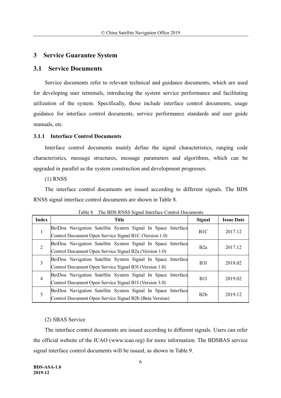#### **3 Service Guarantee System**

#### **3.1 Service Documents**

Service documents refer to relevant technical and guidance documents, which are used for developing user terminals, introducing the system service performance and facilitating utilization of the system. Specifically, those include interface control documents, usage guidance for interface control documents, service performance standards and user guide manuals, etc.

#### **3.1.1 Interface Control Documents**

Interface control documents mainly define the signal characteristics, ranging code characteristics, message structures, message parameters and algorithms, which can be upgraded in parallel as the system construction and development progresses.

#### (1) RNSS

The interface control documents are issued according to different signals. The BDS RNSS signal interface control documents are shown in Table 8.

| <b>Index</b>   | <b>Title</b>                                                 | Signal           | <b>Issue Date</b> |
|----------------|--------------------------------------------------------------|------------------|-------------------|
|                | BeiDou Navigation Satellite System Signal In Space Interface | B <sub>1</sub> C | 2017.12           |
|                | Control Document Open Service Signal B1C (Version 1.0)       |                  |                   |
|                | BeiDou Navigation Satellite System Signal In Space Interface | B2a              |                   |
|                | Control Document Open Service Signal B2a (Version 1.0)       |                  | 2017.12           |
| 3              | BeiDou Navigation Satellite System Signal In Space Interface | <b>B3I</b>       | 2018.02           |
|                | Control Document Open Service Signal B3I (Version 1.0)       |                  |                   |
| $\overline{4}$ | BeiDou Navigation Satellite System Signal In Space Interface | B1I              |                   |
|                | Control Document Open Service Signal B1I (Version 3.0)       |                  | 2019.02           |
|                | BeiDou Navigation Satellite System Signal In Space Interface |                  |                   |
|                | Control Document Open Service Signal B2b (Beta Version)      | B <sub>2</sub> h | 2019.12           |

Table 8 The BDS RNSS Signal Interface Control Documents

#### (2) SBAS Service

The interface control documents are issued according to different signals. Users can refer the official website of the ICAO (www.icao.org) for more information. The BDSBAS service signal interface control documents will be issued, as shown in Table 9.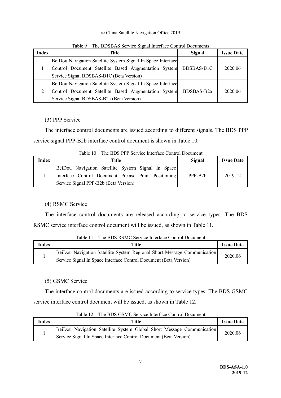| <b>Index</b> | Title                                                        | Signal            | <b>Issue Date</b> |
|--------------|--------------------------------------------------------------|-------------------|-------------------|
|              | BeiDou Navigation Satellite System Signal In Space Interface |                   |                   |
|              | Control Document Satellite Based Augmentation System         | <b>BDSBAS-B1C</b> | 2020.06           |
|              | Service Signal BDSBAS-B1C (Beta Version)                     |                   |                   |
|              | BeiDou Navigation Satellite System Signal In Space Interface |                   |                   |
|              | Control Document Satellite Based Augmentation System         | BDSBAS-B2a        | 2020.06           |
|              | Service Signal BDSBAS-B2a (Beta Version)                     |                   |                   |

Table 9 The BDSBAS Service Signal Interface Control Documents

(3) PPP Service

The interface control documents are issued according to different signals. The BDS PPP service signal PPP-B2b interface control document is shown in Table 10.

| Index | Title                                                | Signal               | <b>Issue Date</b> |
|-------|------------------------------------------------------|----------------------|-------------------|
|       | BeiDou Navigation Satellite System Signal In Space   |                      |                   |
|       | Interface Control Document Precise Point Positioning | PPP-B <sub>2</sub> b | 2019.12           |
|       | Service Signal PPP-B2b (Beta Version)                |                      |                   |

Table 10 The BDS PPP Service Interface Control Document

#### (4) RSMC Service

The interface control documents are released according to service types. The BDS RSMC service interface control document will be issued, as shown in Table 11.

|       | 1 AUR 1 1<br>THE DDS INSINE SETVICE INTERNET CONTENT DOCUMENT           |                   |
|-------|-------------------------------------------------------------------------|-------------------|
| Index | Title                                                                   | <b>Issue Date</b> |
|       | BeiDou Navigation Satellite System Regional Short Message Communication | 2020.06           |
|       | Service Signal In Space Interface Control Document (Beta Version)       |                   |

Table 11 The BDS RSMC Service Interface Control Document

#### (5) GSMC Service

The interface control documents are issued according to service types. The BDS GSMC service interface control document will be issued, as shown in Table 12.

| Index | Title                                                                 | <b>Issue Date</b> |
|-------|-----------------------------------------------------------------------|-------------------|
|       | BeiDou Navigation Satellite System Global Short Message Communication | 2020.06           |
|       | Service Signal In Space Interface Control Document (Beta Version)     |                   |

Table 12 The BDS GSMC Service Interface Control Document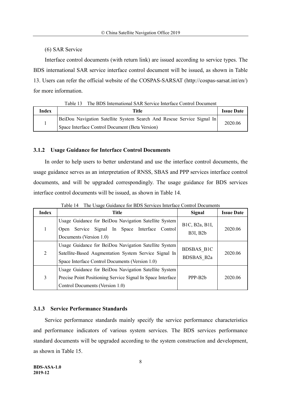#### (6) SAR Service

Interface control documents (with return link) are issued according to service types. The BDS international SAR service interface control document will be issued, as shown in Table 13. Users can refer the official website of the COSPAS-SARSAT (http://cospas-sarsat.int/en/) for more information.

| Index | Title                                                                  | <b>Issue Date</b> |
|-------|------------------------------------------------------------------------|-------------------|
|       | BeiDou Navigation Satellite System Search And Rescue Service Signal In | 2020.06           |
|       | Space Interface Control Document (Beta Version)                        |                   |

Table 13 The BDS International SAR Service Interface Control Document

#### **3.1.2 Usage Guidance for Interface Control Documents**

In order to help users to better understand and use the interface control documents, the usage guidance serves as an interpretation of RNSS, SBAS and PPP services interface control documents, and will be upgraded correspondingly. The usage guidance for BDS services interface control documents will be issued, as shown in Table 14.

| <b>Index</b> | <b>Title</b>                                                                                                                                                      | Signal                            | <b>Issue Date</b> |
|--------------|-------------------------------------------------------------------------------------------------------------------------------------------------------------------|-----------------------------------|-------------------|
|              | Usage Guidance for BeiDou Navigation Satellite System<br>Service Signal In Space Interface Control<br>Open<br>Documents (Version 1.0)                             | B1C, B2a, B1I,<br><b>B3I, B2b</b> | 2020.06           |
| 2            | Usage Guidance for BeiDou Navigation Satellite System<br>Satellite-Based Augmentation System Service Signal In<br>Space Interface Control Documents (Version 1.0) | BDSBAS B1C<br>BDSBAS B2a          | 2020.06           |
| 3            | Usage Guidance for BeiDou Navigation Satellite System<br>Precise Point Positioning Service Signal In Space Interface<br>Control Documents (Version 1.0)           | PPP-B <sub>2</sub> b              | 2020.06           |

Table 14 The Usage Guidance for BDS Services Interface Control Documents

#### **3.1.3 Service Performance Standards**

Service performance standards mainly specify the service performance characteristics and performance indicators of various system services. The BDS services performance standard documents will be upgraded according to the system construction and development, as shown in Table 15.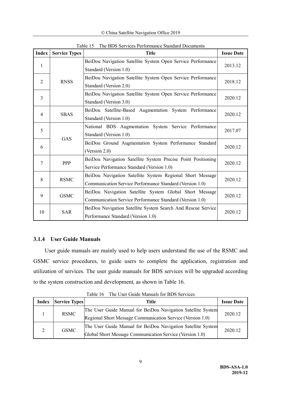Ó China Satellite Navigation Office 2019

| <b>Index</b>   | <b>Service Types</b>          | <b>Title</b>                                                                                                          | <b>Issue Date</b> |
|----------------|-------------------------------|-----------------------------------------------------------------------------------------------------------------------|-------------------|
| 1              |                               | BeiDou Navigation Satellite System Open Service Performance<br>Standard (Version 1.0)                                 | 2013.12           |
| $\overline{2}$ | <b>RNSS</b><br>$\overline{3}$ | BeiDou Navigation Satellite System Open Service Performance<br>Standard (Version 2.0)                                 | 2018.12           |
|                |                               | BeiDou Navigation Satellite System Open Service Performance<br>Standard (Version 3.0)                                 | 2020.12           |
| $\overline{4}$ | <b>SBAS</b>                   | BeiDou Satellite-Based Augmentation System Performance<br>Standard (Version 1.0)                                      | 2020.12           |
| 5              | GAS                           | National BDS Augmentation System Service Performance<br>Standard (Version 1.0)                                        | 2017.07           |
| 6              |                               | BeiDou Ground Augmentation System Performance Standard<br>(Version 2.0)                                               | 2020.12           |
| 7              | PPP                           | BeiDou Navigation Satellite System Precise Point Positioning<br>Service Performance Standard (Version 1.0)            | 2020.12           |
| 8              | <b>RSMC</b>                   | BeiDou Navigation Satellite System Regional Short Message<br>Communication Service Performance Standard (Version 1.0) | 2020.12           |
| 9              | <b>GSMC</b>                   | BeiDou Navigation Satellite System Global Short Message<br>Communication Service Performance Standard (Version 1.0)   | 2020.12           |
| 10             | <b>SAR</b>                    | BeiDou Navigation Satellite System Search And Rescue Service<br>Performance Standard (Version 1.0)                    | 2020.12           |

Table 15 The BDS Services Performance Standard Documents

#### **3.1.4 User Guide Manuals**

User guide manuals are mainly used to help users understand the use of the RSMC and GSMC service procedures, to guide users to complete the application, registration and utilization of services. The user guide manuals for BDS services will be upgraded according to the system construction and development, as shown in Table 16.

| Index | <b>Service Types</b> | Title                                                        | <b>Issue Date</b> |
|-------|----------------------|--------------------------------------------------------------|-------------------|
|       | <b>RSMC</b>          | The User Guide Manual for BeiDou Navigation Satellite System |                   |
|       |                      | Regional Short Message Communication Service (Version 1.0)   | 2020.12           |
| C.    | <b>GSMC</b>          | The User Guide Manual for BeiDou Navigation Satellite System | 2020.12           |
|       |                      | Global Short Message Communication Service (Version 1.0)     |                   |

Table 16 The User Guide Manuals for BDS Services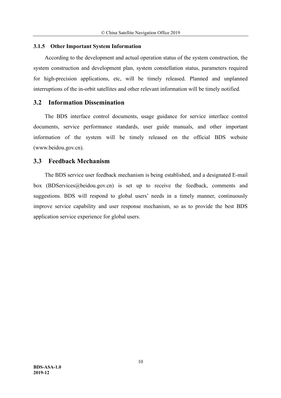#### **3.1.5 Other Important System Information**

According to the development and actual operation status of the system construction, the system construction and development plan, system constellation status, parameters required for high-precision applications, etc, will be timely released. Planned and unplanned interruptions of the in-orbit satellites and other relevant information will be timely notified.

#### **3.2 Information Dissemination**

The BDS interface control documents, usage guidance for service interface control documents, service performance standards, user guide manuals, and other important information of the system will be timely released on the official BDS website (www.beidou.gov.cn).

#### **3.3 Feedback Mechanism**

The BDS service user feedback mechanism is being established, and a designated E-mail box (BDServices@beidou.gov.cn) is set up to receive the feedback, comments and suggestions. BDS will respond to global users' needs in a timely manner, continuously improve service capability and user response mechanism, so as to provide the best BDS application service experience for global users.